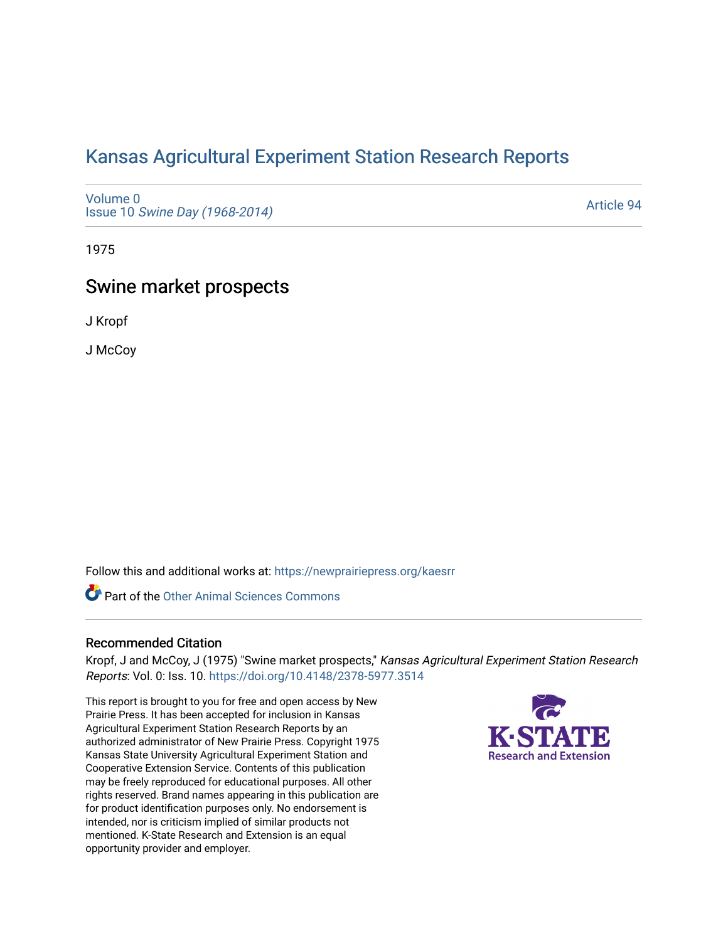# [Kansas Agricultural Experiment Station Research Reports](https://newprairiepress.org/kaesrr)

[Volume 0](https://newprairiepress.org/kaesrr/vol0) Issue 10 [Swine Day \(1968-2014\)](https://newprairiepress.org/kaesrr/vol0/iss10)

[Article 94](https://newprairiepress.org/kaesrr/vol0/iss10/94) 

1975

# Swine market prospects

J Kropf

J McCoy

Follow this and additional works at: [https://newprairiepress.org/kaesrr](https://newprairiepress.org/kaesrr?utm_source=newprairiepress.org%2Fkaesrr%2Fvol0%2Fiss10%2F94&utm_medium=PDF&utm_campaign=PDFCoverPages) 

Part of the [Other Animal Sciences Commons](http://network.bepress.com/hgg/discipline/82?utm_source=newprairiepress.org%2Fkaesrr%2Fvol0%2Fiss10%2F94&utm_medium=PDF&utm_campaign=PDFCoverPages)

## Recommended Citation

Kropf, J and McCoy, J (1975) "Swine market prospects," Kansas Agricultural Experiment Station Research Reports: Vol. 0: Iss. 10.<https://doi.org/10.4148/2378-5977.3514>

This report is brought to you for free and open access by New Prairie Press. It has been accepted for inclusion in Kansas Agricultural Experiment Station Research Reports by an authorized administrator of New Prairie Press. Copyright 1975 Kansas State University Agricultural Experiment Station and Cooperative Extension Service. Contents of this publication may be freely reproduced for educational purposes. All other rights reserved. Brand names appearing in this publication are for product identification purposes only. No endorsement is intended, nor is criticism implied of similar products not mentioned. K-State Research and Extension is an equal opportunity provider and employer.

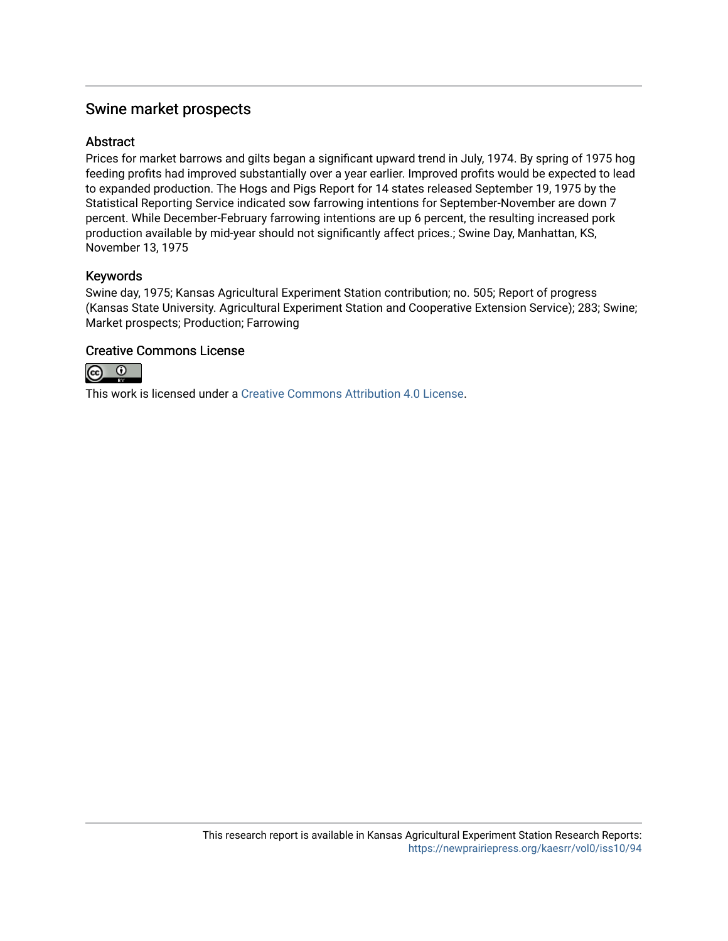# Swine market prospects

# **Abstract**

Prices for market barrows and gilts began a significant upward trend in July, 1974. By spring of 1975 hog feeding profits had improved substantially over a year earlier. Improved profits would be expected to lead to expanded production. The Hogs and Pigs Report for 14 states released September 19, 1975 by the Statistical Reporting Service indicated sow farrowing intentions for September-November are down 7 percent. While December-February farrowing intentions are up 6 percent, the resulting increased pork production available by mid-year should not significantly affect prices.; Swine Day, Manhattan, KS, November 13, 1975

# Keywords

Swine day, 1975; Kansas Agricultural Experiment Station contribution; no. 505; Report of progress (Kansas State University. Agricultural Experiment Station and Cooperative Extension Service); 283; Swine; Market prospects; Production; Farrowing

# Creative Commons License



This work is licensed under a [Creative Commons Attribution 4.0 License](https://creativecommons.org/licenses/by/4.0/).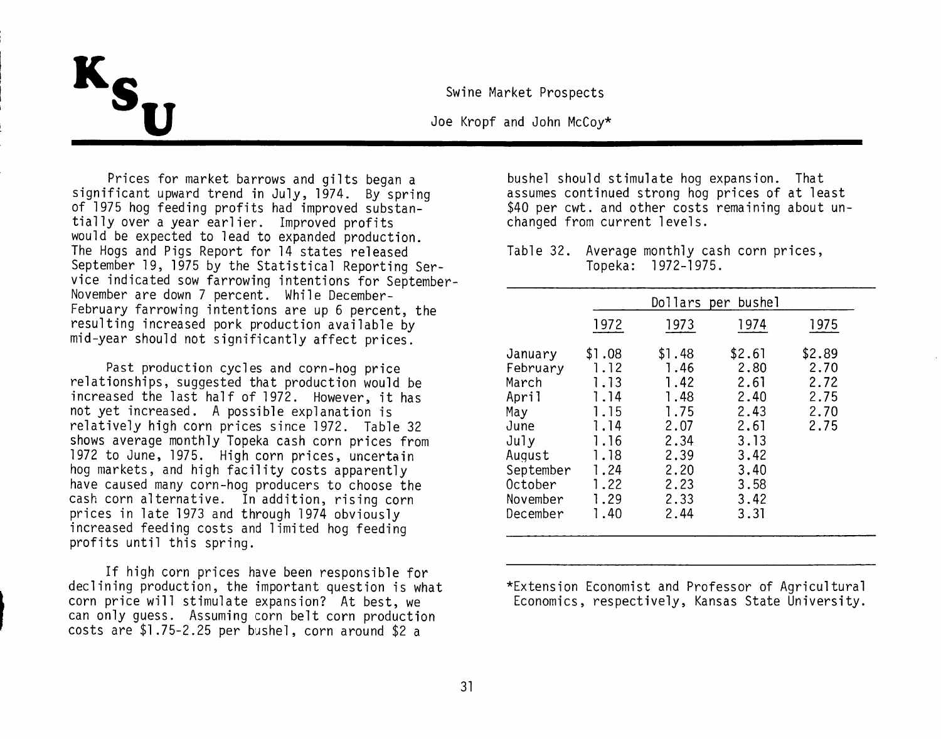Swine Market Prospects

Joe Kropf and John McCov\*

Prices for market barrows and gilts began a significant upward trend in July, 1974. By spring of 1975 hog feeding profits had improved substantially over a vear earlier. Improved profits would be expected to lead to expanded production. The Hogs and Pigs Report for 14 states released September 19, 1975 by the Statistical Reporting Service indicated sow farrowing intentions for September-November are down 7 percent. While December-February farrowing intentions are up 6 percent, the resulting increased pork production available by mid-year should not significantly affect prices.

Past production cycles and corn-hog price relationships, suggested that production would be increased the last half of 1972. However, it has not yet increased. A possible explanation is relatively high corn prices since 1972. Table 32 shows average monthly Topeka cash corn prices from 1972 to June, 1975. High corn prices, uncertain hog markets, and high facility costs apparently have caused many corn-hog producers to choose the cash corn alternative. In addition, rising corn prices in late 1973 and through 1974 obviously increased feeding costs and limited hog feeding profits until this spring.

If high corn prices have been responsible for declining production, the important question is what corn price will stimulate expansion? At best, we can only guess. Assuming corn belt corn production costs are \$1.75-2.25 per bushel, corn around \$2 a

bushel should stimulate hog expansion. That assumes continued strong hog prices of at least \$40 per cwt. and other costs remaining about unchanged from current levels.

Table 32. Average monthly cash corn prices, Topeka: 1972-1975.

|                                                                                                                        |                                                                                                |                                                                                                | Dollars per bushel                                                                             |                                                |
|------------------------------------------------------------------------------------------------------------------------|------------------------------------------------------------------------------------------------|------------------------------------------------------------------------------------------------|------------------------------------------------------------------------------------------------|------------------------------------------------|
|                                                                                                                        | 1972                                                                                           | 1973                                                                                           | 1974                                                                                           | 1975                                           |
| January<br>February<br>March<br>April<br>May<br>June<br>July<br>August<br>September<br>October<br>November<br>December | \$1.08<br>1.12<br>1.13<br>1.14<br>1.15<br>1.14<br>1.16<br>1.18<br>1.24<br>1.22<br>1.29<br>1.40 | \$1.48<br>1.46<br>1.42<br>1.48<br>1.75<br>2.07<br>2.34<br>2.39<br>2.20<br>2.23<br>2.33<br>2.44 | \$2.61<br>2.80<br>2.61<br>2.40<br>2.43<br>2.61<br>3.13<br>3.42<br>3.40<br>3.58<br>3.42<br>3.31 | \$2.89<br>2.70<br>2.72<br>2.75<br>2.70<br>2.75 |

\*Extension Economist and Professor of Agricultural Economics, respectively, Kansas State University.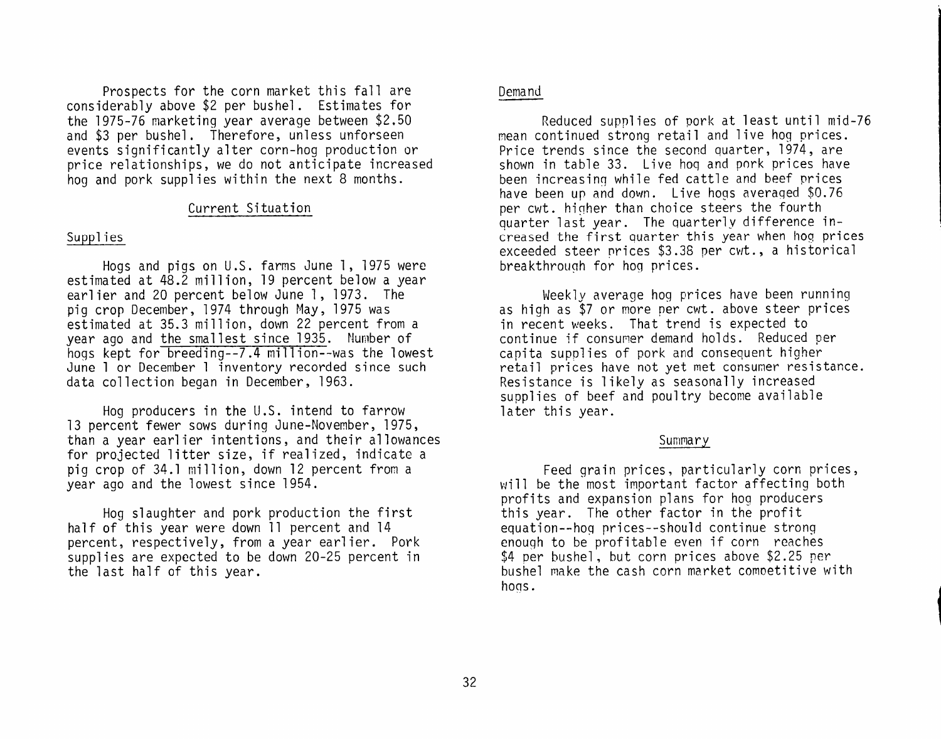Prospects for the corn market this fall are considerably above \$2 per bushel. Estimates for the 1975-76 marketing year average between \$2.50 and \$3 per bushel. Therefore, unless unforseen events significantly alter corn-hog production or price relationships, we do not anticipate increased hog and pork supplies within the next 8 months.

#### Current Situation

#### Supplies

Hogs and pigs on U.S. farms June 1, 1975 were estimated at 48.2 million, 19 percent below a year earlier and 20 percent below June 1, 1973. The piq crop December, 1974 through May, 1975 was estimated at 35.3 million, down 22 percent from a year ago and the smallest since 1935. Number of hogs kept for breeding--7.4 million--was the lowest June 1 or December 1 inventory recorded since such data collection began in December, 1963.

Hog producers in the U.S. intend to farrow 13 percent fewer sows during June-November, 1975, than a vear earlier intentions, and their allowances for projected litter size, if realized, indicate a pig crop of 34.1 million, down 12 percent from a year ago and the lowest since 1954.

Hog slaughter and pork production the first half of this year were down 11 percent and 14 percent, respectively, from a year earlier. Pork supplies are expected to be down 20-25 percent in the last half of this year.

### Demand

Reduced supplies of pork at least until mid-76 mean continued strong retail and live hog prices. Price trends since the second quarter, 1974, are shown in table 33. Live hog and pork prices have been increasing while fed cattle and beef prices have been up and down. Live hogs averaged \$0.76 per cwt. higher than choice steers the fourth quarter last year. The quarterly difference increased the first quarter this year when hog prices exceeded steer prices \$3.38 per cwt., a historical breakthrough for hog prices.

Weekly average hog prices have been running as high as \$7 or more per cwt. above steer prices in recent weeks. That trend is expected to continue if consumer demand holds. Reduced per capita supplies of pork and consequent higher retail prices have not yet met consumer resistance. Resistance is likely as seasonally increased supplies of beef and poultry become available later this vear.

#### Summary

Feed grain prices, particularly corn prices, will be the most important factor affecting both profits and expansion plans for hog producers this year. The other factor in the profit equation--hoq prices--should continue strong enough to be profitable even if corn reaches \$4 per bushel, but corn prices above \$2.25 per bushel make the cash corn market competitive with hogs.